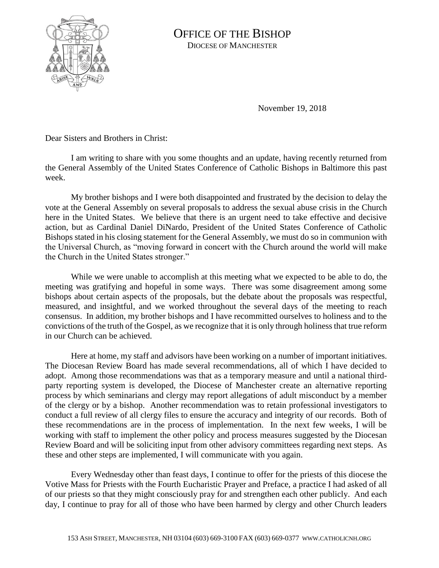

## OFFICE OF THE BISHOP DIOCESE OF MANCHESTER

November 19, 2018

Dear Sisters and Brothers in Christ:

I am writing to share with you some thoughts and an update, having recently returned from the General Assembly of the United States Conference of Catholic Bishops in Baltimore this past week.

My brother bishops and I were both disappointed and frustrated by the decision to delay the vote at the General Assembly on several proposals to address the sexual abuse crisis in the Church here in the United States. We believe that there is an urgent need to take effective and decisive action, but as Cardinal Daniel DiNardo, President of the United States Conference of Catholic Bishops stated in his closing statement for the General Assembly, we must do so in communion with the Universal Church, as "moving forward in concert with the Church around the world will make the Church in the United States stronger."

While we were unable to accomplish at this meeting what we expected to be able to do, the meeting was gratifying and hopeful in some ways. There was some disagreement among some bishops about certain aspects of the proposals, but the debate about the proposals was respectful, measured, and insightful, and we worked throughout the several days of the meeting to reach consensus. In addition, my brother bishops and I have recommitted ourselves to holiness and to the convictions of the truth of the Gospel, as we recognize that it is only through holiness that true reform in our Church can be achieved.

Here at home, my staff and advisors have been working on a number of important initiatives. The Diocesan Review Board has made several recommendations, all of which I have decided to adopt. Among those recommendations was that as a temporary measure and until a national thirdparty reporting system is developed, the Diocese of Manchester create an alternative reporting process by which seminarians and clergy may report allegations of adult misconduct by a member of the clergy or by a bishop. Another recommendation was to retain professional investigators to conduct a full review of all clergy files to ensure the accuracy and integrity of our records. Both of these recommendations are in the process of implementation. In the next few weeks, I will be working with staff to implement the other policy and process measures suggested by the Diocesan Review Board and will be soliciting input from other advisory committees regarding next steps. As these and other steps are implemented, I will communicate with you again.

Every Wednesday other than feast days, I continue to offer for the priests of this diocese the Votive Mass for Priests with the Fourth Eucharistic Prayer and Preface, a practice I had asked of all of our priests so that they might consciously pray for and strengthen each other publicly. And each day, I continue to pray for all of those who have been harmed by clergy and other Church leaders